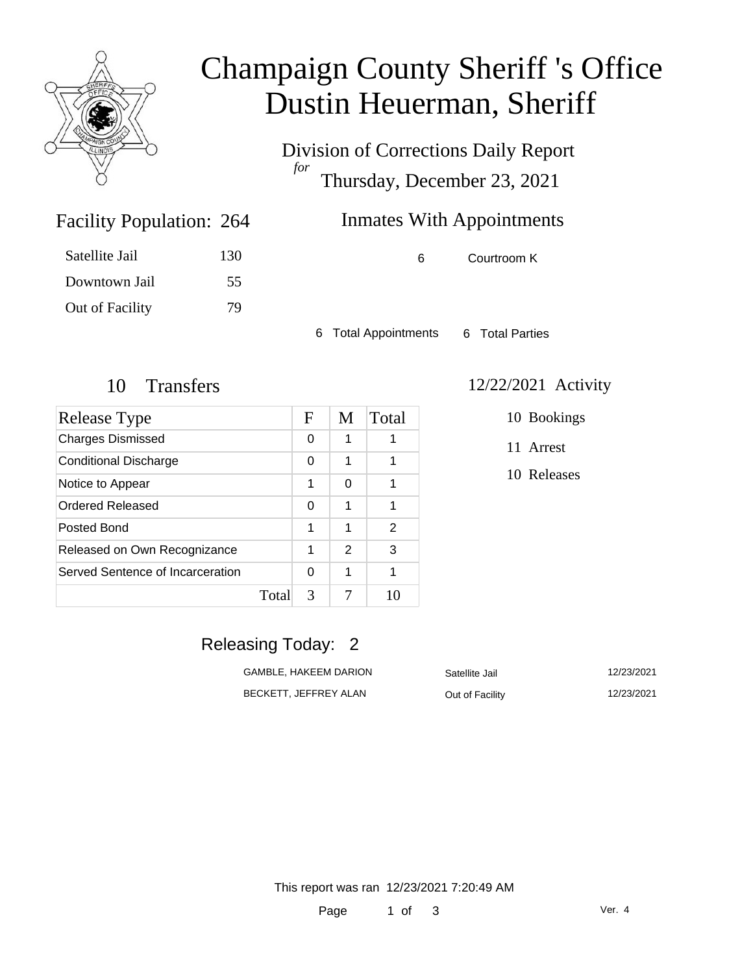

# Champaign County Sheriff 's Office Dustin Heuerman, Sheriff

Division of Corrections Daily Report *for* Thursday, December 23, 2021

# Inmates With Appointments

6 Courtroom K

6 Total Appointments 6 Total Parties

Facility Population: 264

Satellite Jail 130

Downtown Jail 55

Out of Facility 79

| Release Type                     |       | F | M | Total |
|----------------------------------|-------|---|---|-------|
| <b>Charges Dismissed</b>         |       | 0 | 1 |       |
| <b>Conditional Discharge</b>     |       | 0 | 1 |       |
| Notice to Appear                 |       | 1 | 0 | 1     |
| Ordered Released                 |       | 0 | 1 | 1     |
| Posted Bond                      |       | 1 | 1 | 2     |
| Released on Own Recognizance     |       | 1 | 2 | 3     |
| Served Sentence of Incarceration |       | 0 | 1 |       |
|                                  | Total | 3 |   |       |

#### 10 Transfers 12/22/2021 Activity

10 Bookings

11 Arrest

10 Releases

### Releasing Today: 2

| GAMBLE. HAKEEM DARION | Satellite Jail  | 12/23/2021 |
|-----------------------|-----------------|------------|
| BECKETT. JEFFREY ALAN | Out of Facility | 12/23/2021 |

This report was ran 12/23/2021 7:20:49 AM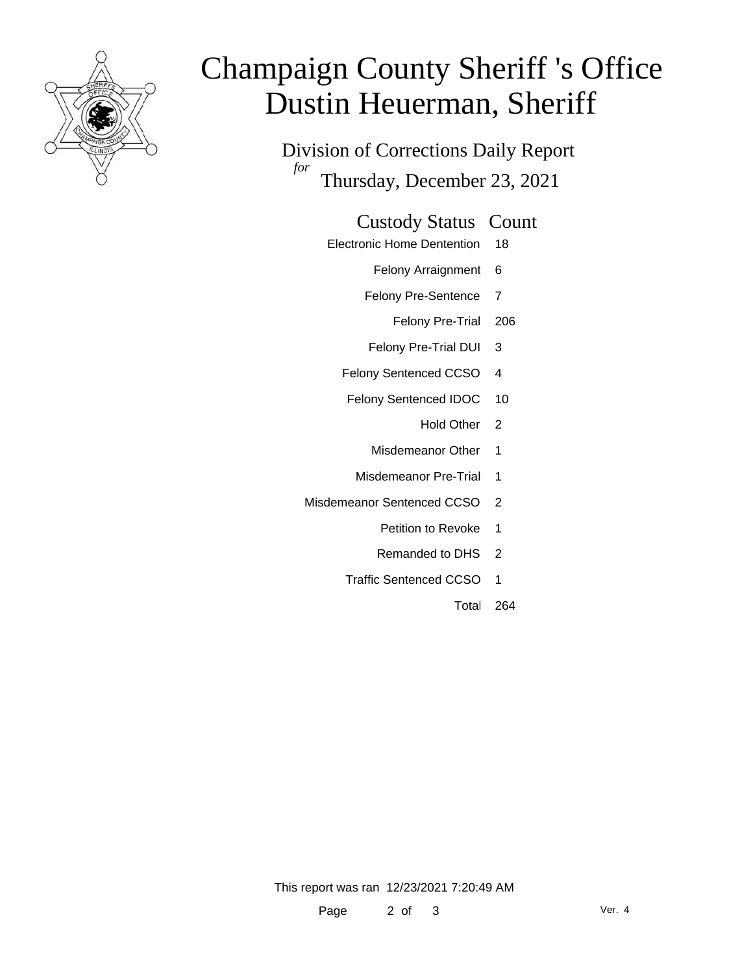

# Champaign County Sheriff 's Office Dustin Heuerman, Sheriff

Division of Corrections Daily Report *for* Thursday, December 23, 2021

#### Custody Status Count

- Electronic Home Dentention 18
	- Felony Arraignment 6
	- Felony Pre-Sentence 7
		- Felony Pre-Trial 206
	- Felony Pre-Trial DUI 3
	- Felony Sentenced CCSO 4
	- Felony Sentenced IDOC 10
		- Hold Other 2
		- Misdemeanor Other 1
		- Misdemeanor Pre-Trial 1
- Misdemeanor Sentenced CCSO 2
	- Petition to Revoke 1
	- Remanded to DHS 2
	- Traffic Sentenced CCSO 1
		- Total 264

This report was ran 12/23/2021 7:20:49 AM